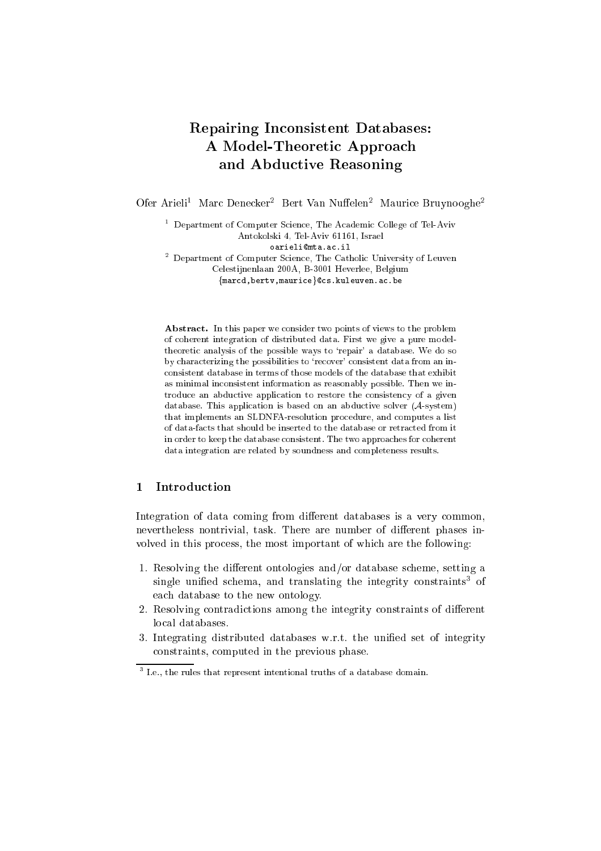# Repairing In
onsistent Databases: A Model-Theoreti Approa
h and Abdu
tive Reasoning

Ofer Arieli – Marc Denecker – Bert van Nuffelen – Maurice Bruynooghe-

the Department of Computer Science, The Academic College of Tel-Aviv Antokolski 4, Tel-Aviv 61161, Israel oarielimta.a
.il  $\,$  - Department of Computer Science, The Catholic University of Leuven Celestijnenlaan 200A, B-3001 Heverlee, Belgium

<sup>f</sup>mar
d,bertv,mauri
eg
s.kuleuven.a
.be

Abstract. In this paper we consider two points of views to the problem of oherent integration of distributed data. First we give a pure modeltheoretic analysis of the possible ways to 'repair' a database. We do so by characterizing the possibilities to 'recover' consistent data from an inonsistent database in terms of those models of the database that exhibit as minimal in
onsistent information as reasonably possible. Then we introduce an abductive application to restore the consistency of a given database. This application is based on an abductive solver  $(A\text{-system})$ that implements an SLDNFA-resolution pro
edure, and omputes a list of data-fa
ts that should be inserted to the database or retra
ted from it in order to keep the database consistent. The two approaches for coherent data integration are related by soundness and ompleteness results.

### 1 Introdu
tion

Integration of data coming from different databases is a very common, nevertheless nontrivial, task. There are number of different phases involved in this process, the most important of which are the following:

- 1. Resolving the different ontologies and/or database scheme, setting a single unified schema, and translating the integrity constraints<sup>-</sup> of ea
h database to the new ontology.
- 2. Resolving contradictions among the integrity constraints of different lo
al databases.
- 3. Integrating distributed databases w.r.t. the unified set of integrity onstraints, omputed in the previous phase.

 $^\circ$  r.e., the rules that represent intentional truths of a database domain.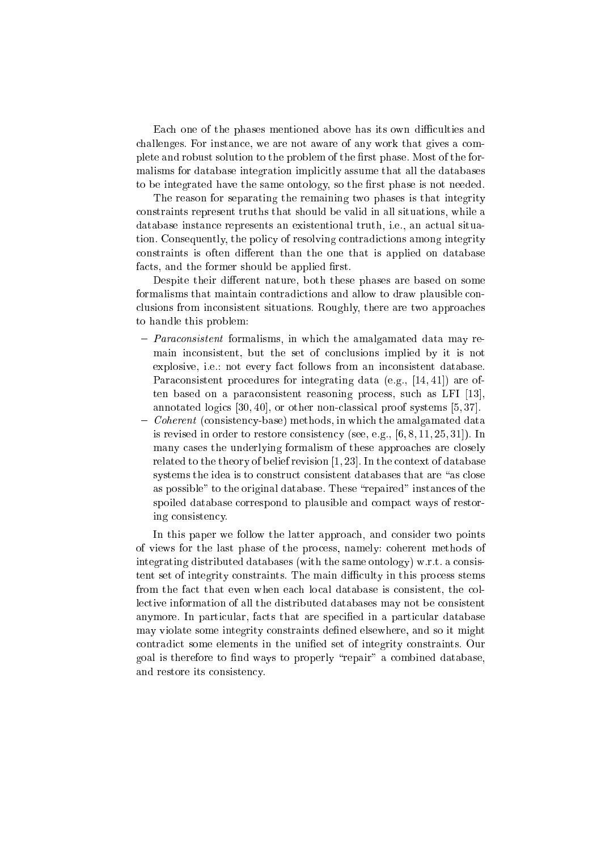Each one of the phases mentioned above has its own difficulties and challenges. For instance, we are not aware of any work that gives a complete and robust solution to the problem of the first phase. Most of the formalisms for database integration implicitly assume that all the databases to be integrated have the same ontology, so the first phase is not needed.

The reason for separating the remaining two phases is that integrity onstraints represent truths that should be valid in all situations, while a database instance represents an existentional truth, i.e., an actual situation. Consequently, the policy of resolving contradictions among integrity constraints is often different than the one that is applied on database facts, and the former should be applied first.

Despite their different nature, both these phases are based on some formalisms that maintain contradictions and allow to draw plausible conlusions from in
onsistent situations. Roughly, there are two approa
hes to handle this problem:

- *Paraconsistent* formalisms, in which the amalgamated data may remain inconsistent, but the set of conclusions implied by it is not explosive, *i.e.*; not every fact follows from an inconsistent database. Paraconsistent procedures for integrating data (e.g., [14, 41]) are often based on a paraconsistent reasoning process, such as LFI [13]. annotated logics  $[30, 40]$ , or other non-classical proof systems  $[5, 37]$ .
- $\sim$  Coherent (consistency-base) methods, in which the amalgamated data is revised in order to restore consistency (see, e.g.,  $[6, 8, 11, 25, 31]$ ). In many cases the underlying formalism of these approaches are closely related to the theory of belief revision  $[1, 23]$ . In the context of database systems the idea is to construct consistent databases that are "as close as possible" to the original database. These "repaired" instances of the spoiled database correspond to plausible and compact ways of restoring consistency.

In this paper we follow the latter approach, and consider two points of views for the last phase of the pro
ess, namely: oherent methods of integrating distributed databases (with the same ontology) w.r.t. a consistent set of integrity constraints. The main difficulty in this process stems from the fact that even when each local database is consistent, the collective information of all the distributed databases may not be consistent anymore. In particular, facts that are specified in a particular database may violate some integrity constraints defined elsewhere, and so it might ontradi
t some elements in the unied set of integrity onstraints. Our goal is therefore to find ways to properly "repair" a combined database, and restore its onsisten
y.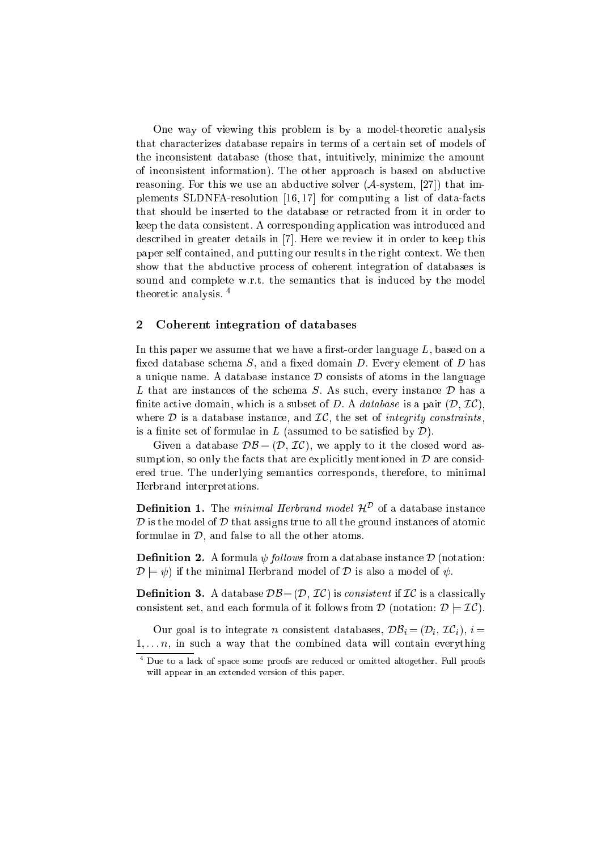One way of viewing this problem is by a model-theoretic analysis that characterizes database repairs in terms of a certain set of models of the in
onsistent database (those that, intuitively, minimize the amount of in
onsistent information). The other approa
h is based on abdu
tive reasoning. For this we use an abductive solver  $(A\text{-system}, [27])$  that implements SLDNFA-resolution  $[16, 17]$  for computing a list of data-facts that should be inserted to the database or retracted from it in order to keep the data onsistent. A orresponding appli
ation was introdu
ed and described in greater details in [7]. Here we review it in order to keep this paper self ontained, and putting our results in the right ontext. We then show that the abdu
tive pro
ess of oherent integration of databases is sound and complete w.r.t. the semantics that is induced by the model theoreti analysis. <sup>4</sup>

# 2 Coherent integration of databases

In this paper we assume that we have a first-order language  $L$ , based on a fixed database schema  $S$ , and a fixed domain  $D$ . Every element of  $D$  has a unique name. A database instance  $\mathcal D$  consists of atoms in the language L that are instances of the schema  $S$ . As such, every instance  $D$  has a finite active domain, which is a subset of D. A *database* is a pair  $(D, \mathcal{I}C)$ . where  $D$  is a database instance, and  $IC$ , the set of *integrity constraints*, is a finite set of formulae in  $L$  (assumed to be satisfied by  $\mathcal{D}$ ).

Given a database  $\mathcal{DB} = (\mathcal{D}, \mathcal{IC})$ , we apply to it the closed word assumption, so only the facts that are explicitly mentioned in  $\mathcal D$  are considered true. The underlying semanti
s orresponds, therefore, to minimal Herbrand interpretations.

**Dennition 1.** The *minimal Herbrand model H*<sup>-</sup> of a database instance  $D$  is the model of  $D$  that assigns true to all the ground instances of atomic formulae in  $D$ , and false to all the other atoms.

**Definition 2.** A formula  $\psi$  follows from a database instance  $\mathcal{D}$  (notation:  $\mathcal{D} \models \psi$  if the minimal Herbrand model of  $\mathcal D$  is also a model of  $\psi$ .

**Definition 3.** A database  $\mathcal{DB} = (\mathcal{D}, \mathcal{IC})$  is consistent if  $\mathcal{IC}$  is a classically consistent set, and each formula of it follows from  $\mathcal{D}$  (notation:  $\mathcal{D} \models \mathcal{IC}$ ).

Our goal is to integrate *n* consistent databases,  $\mathcal{DB}_i = (\mathcal{D}_i, \mathcal{IC}_i), i =$  $1, \ldots, n$ , in such a way that the combined data will contain everything

<sup>4</sup> Due to a la
k of spa
e some proofs are redu
ed or omitted altogether. Full proofs will appear in an extended version of this paper.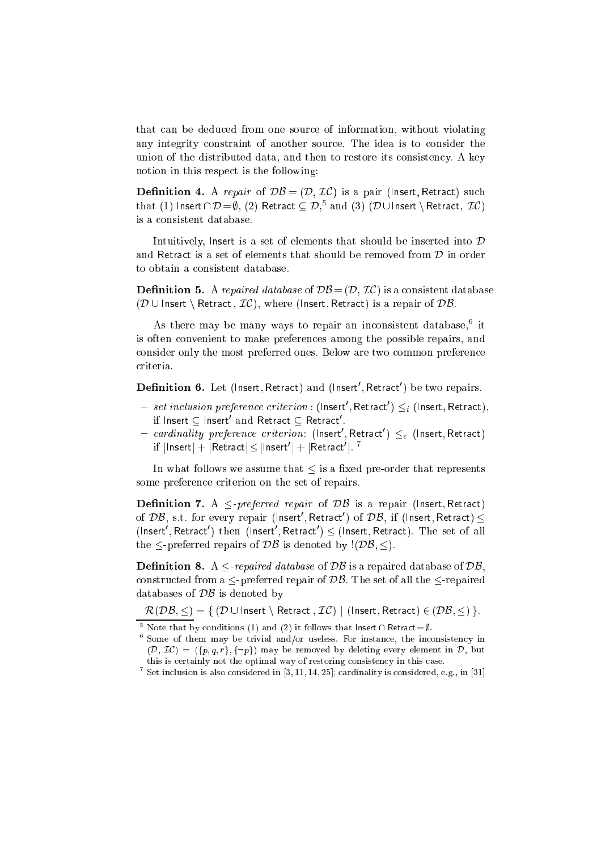that an be dedu
ed from one sour
e of information, without violating any integrity onstraint of another sour
e. The idea is to onsider the union of the distributed data, and then to restore its consistency. A key notion in this respe
t is the following:

**Definition 4.** A repair of  $DB = (D, \mathcal{IC})$  is a pair (lnsert, Retract) such that (1) insert  $D = \emptyset$ , (2) Retract  $\subseteq D$ , and (3) (D  $\cup$  insert \ Retract,  $\mathcal{L}(\mathcal{L})$ is a consistent database.

Intuitively, Insert is a set of elements that should be inserted into  $D$ and Retract is a set of elements that should be removed from  $D$  in order to obtain a onsistent database.

**Definition 5.** A repaired database of  $\mathcal{DB} = (\mathcal{D}, \mathcal{IC})$  is a consistent database  $(D \cup$  Insert \ Retract,  $IC$ ), where (Insert, Retract) is a repair of DB.

As there may be many ways to repair an inconsistent database, tt is often onvenient to make preferen
es among the possible repairs, and consider only the most preferred ones. Below are two common preference criteria.

 ${\bf D}$ efinition b. Let (Insert, Retract) and (Insert , Retract ) be two repairs.

- $-$  set inclusion preference criterion : (Insert , Retract )  $\leq_i$  (Insert, Retract),  $\text{in}$  insert  $\infty$  insert and Retract  $\subseteq$  Retract .
- $-$  cardinality preference criterion: (Insert , Retract )  $\leq_c$  (Insert, Retract)  $\text{in } \left| \text{insert} \right| + \left| \text{Return } \left( \text{parent} \right) \right| + \left| \text{Return } \left( \text{train} \right) \right|$

In what follows we assume that  $\leq$  is a fixed pre-order that represents some preference criterion on the set of repairs.

Denition 7. A -preferred repair of DB is a repair (Insert; Retra
t) of  $\nu$ b, s.t. for every repair (insert , Retract ) of  $\nu$ b, if (insert, Retract)  $\le$ (insert), Retract ) then (insert), Retract )  $\leq$  (insert, Retract). The set of all the  $\leq$ -preferred repairs of  $\mathcal{DB}$  is denoted by ! $(\mathcal{DB}, \leq)$ .

**Definition 8.** A  $\leq$ -repaired database of DB is a repaired database of DB, constructed from a  $\leq$ -preferred repair of DB. The set of all the  $\leq$ -repaired databases of  $\mathcal{DB}$  is denoted by

 $\mathcal{R}(\mathcal{DB}, \leq) = \{ \, (\mathcal{D} \cup \mathsf{Insert} \setminus \mathsf{Retract}\,,\, \mathcal{IC}) \mid (\mathsf{Insert}, \mathsf{Retract}) \in (\mathcal{DB}, \leq) \, \}.$ 

There that by conditions (1) and (2) it follows that insert  $\cap$  retract= $\psi$ .

 $\,$  Some of them may be trivial and/or useless. For instance, the inconsistency in  $(D, \mathcal{IC}) = (\{p, q, r\}, \{\neg p\})$  may be removed by deleting every element in D, but this is certainly not the optimal way of restoring consistency in this case.

 $\sim$  Set inclusion is also considered in [3, 11, 14, 25]; cardinality is considered, e.g., in [31]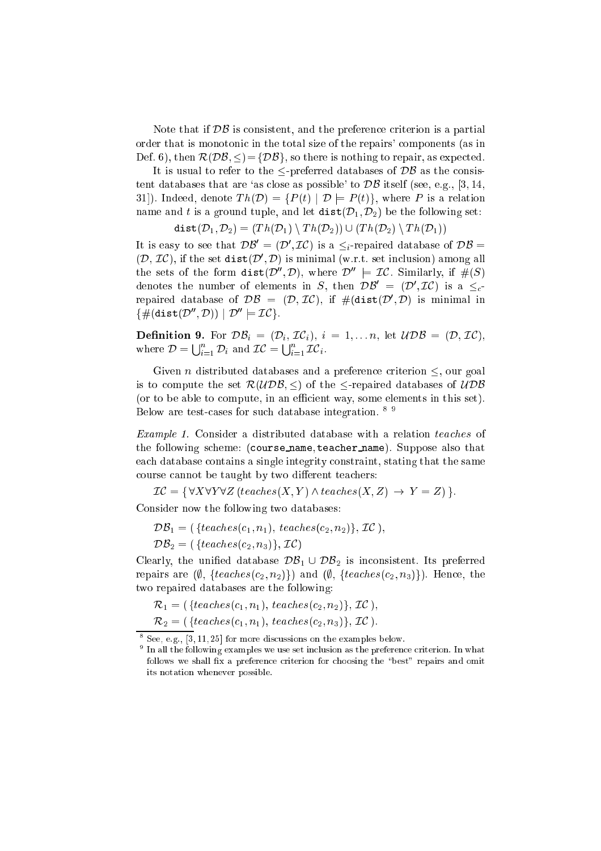Note that if  $\mathcal{DB}$  is consistent, and the preference criterion is a partial order that is monotonic in the total size of the repairs' components (as in Def. 6), then  $\mathcal{R}(\mathcal{DB}, \leq) = \{\mathcal{DB}\}\$ , so there is nothing to repair, as expected.

It is usual to refer to the  $\leq$ -preferred databases of  $\mathcal{DB}$  as the consistent databases that are 'as close as possible' to  $\mathcal{DB}$  itself (see, e.g., [3, 14, 31). Indeed, denote  $Th(\mathcal{D}) = \{P(t) | \mathcal{D} \models P(t)\}\$ , where P is a relation name and t is a ground tuple, and let  $dist(D_1, D_2)$  be the following set:

$$
\mathtt{dist}(\mathcal{D}_1, \mathcal{D}_2) = (Th(\mathcal{D}_1) \setminus Th(\mathcal{D}_2)) \cup (Th(\mathcal{D}_2) \setminus Th(\mathcal{D}_1))
$$

It is easy to see that  $D\mathcal{D}^{\dagger} = (D^{\dagger}, L\mathcal{L})$  is a  $\leq_i$ -repaired database of  $D\mathcal{D}^{\dagger} =$  $(\nu, \nu)$ , if the set dist( $\nu$ ,  $\nu$ ) is minimal (w.r.t. set inclusion) among all the sets of the form dist( $D$ ,  $D$ ), where  $D^+ \equiv L\mathcal{C}$ , similarly, if  $\#(\mathcal{S})$ denotes the number of elements in S, then  $D\mathcal{D}^- = (D^+, \mathcal{L}C)$  is a  $\leq_c$ repaired database of  $\nu\bar{\nu} = (\nu, \nu)$ , if  $\#\{\mathtt{dist}(\nu, \nu) \}$  is minimal in  $\left\{ \begin{array}{l} \#(\mathtt{d1S}\cup D) \end{array}, D\right\} \cup D \quad \models LCA.$ 

**Definition 9.** For  $\mathcal{DB}_i = (\mathcal{D}_i, \mathcal{IC}_i), i = 1, \ldots n$ , let  $\mathcal{UDB} = (\mathcal{D}, \mathcal{IC}),$ where  $\mathcal{D} = \bigcup_{i=1}^n$  $i=1$   $\cdots$   $\cdots$   $\cdots$ i 17*i*  $i=1$   $i$ .

Given *n* distributed databases and a preference criterion  $\leq$ , our goal is to compute the set  $\mathcal{R}(U\mathcal{DB}, \leq)$  of the  $\leq$ -repaired databases of  $U\mathcal{DB}$ (or to be able to compute, in an efficient way, some elements in this set). Below are test-cases for such database integration. <sup>89</sup>

Example 1. Consider a distributed database with a relation teaches of the following scheme: (course name, teacher name). Suppose also that ea
h database ontains a single integrity onstraint, stating that the same course cannot be taught by two different teachers:

 $\mathcal{IC} = \{ \forall X \forall Y \forall Z (teaches(X, Y) \land teaches(X, Z) \rightarrow Y = Z) \}.$ Consider now the following two databases:

$$
\mathcal{DB}_1 = (\{teaches(c_1, n_1), \,teaches(c_2, n_2)\}, \, \mathcal{IC}),
$$
  

$$
\mathcal{DB}_2 = (\{teaches(c_2, n_3)\}, \, \mathcal{IC})
$$

Clearly, the unified database  $\mathcal{DB}_1 \cup \mathcal{DB}_2$  is inconsistent. Its preferred repairs are  $(\emptyset, \{teaches(c_2, n_2)\})$  and  $(\emptyset, \{teaches(c_2, n_3)\})$ . Hence, the two repaired databases are the following:

 $\mathcal{R}_1 = (\{teaches(c_1, n_1), \,teaches(c_2, n_2)\}, \mathcal{IC}),$ 

 $\mathcal{R}_2 = (\{teaches(c_1, n_1), \:teaches(c_2, n_3)\}, \mathcal{IC})$ .

 $\sim$  See, e.g., [3, 11, 25] for more discussions on the examples below.

 $^{\circ}$  In all the following examples we use set inclusion as the preference criterion. In what follows we shall fix a preference criterion for choosing the "best" repairs and omit its notation whenever possible.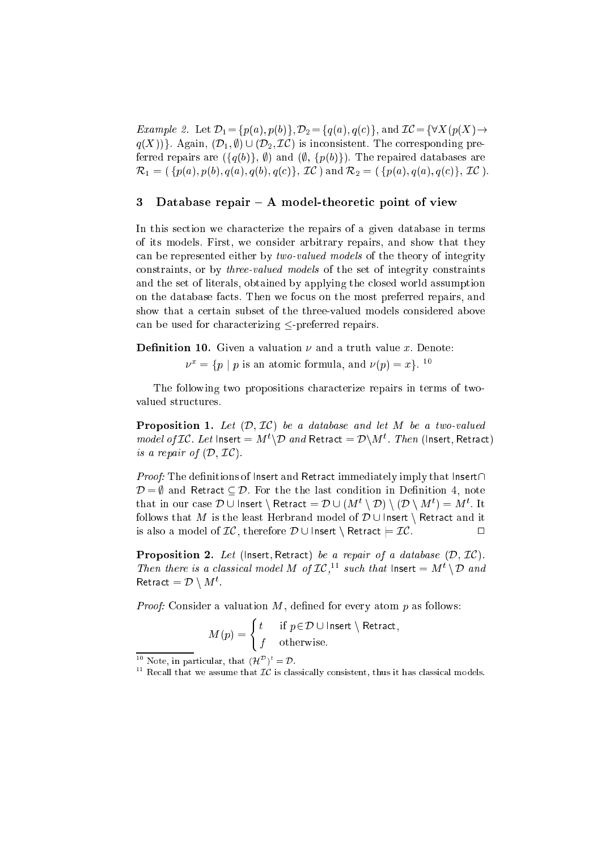*Example 2.* Let  $\mathcal{D}_1 = \{p(a), p(b)\}, \mathcal{D}_2 = \{q(a), q(c)\}, \text{ and } \mathcal{IC} = \{\forall X(p(X) \rightarrow$  $q(X)$ }. Again,  $(\mathcal{D}_1, \emptyset) \cup (\mathcal{D}_2, \mathcal{I}\mathcal{C})$  is inconsistent. The corresponding preferred repairs are  $({q(b)}, \emptyset)$  and  $(\emptyset, {p(b)}$ . The repaired databases are  $\mathcal{R}_1 = (\{p(a), p(b), q(a), q(b), q(c)\}, \mathcal{IC})$  and  $\mathcal{R}_2 = (\{p(a), q(a), q(c)\}, \mathcal{IC})$ .

# 3 Database repair  $-$  A model-theoretic point of view

In this se
tion we hara
terize the repairs of a given database in terms of its models. First, we onsider arbitrary repairs, and show that they an be represented either by two-valued models of the theory of integrity onstraints, or by three-valued models of the set of integrity onstraints and the set of literals, obtained by applying the losed world assumption on the database facts. Then we focus on the most preferred repairs, and show that a ertain subset of the three-valued models onsidered above can be used for characterizing  $\leq$ -preferred repairs.

**Definition 10.** Given a valuation  $\nu$  and a truth value x. Denote:

 $\nu^* = \alpha p + p$  is an atomic formula, and  $\nu(p) = x \varepsilon^{-1}$ 

The following two propositions characterize repairs in terms of twovalued structures.

**Proposition 1.** Let  $(\mathcal{D}, \mathcal{IC})$  be a database and let M be a two-valued *model of LC. Let* insert  $= M \setminus D$  *and* Retract  $= D \setminus M$  . Then (insert, Retract) is a repair of  $(D, \mathcal{IC})$ .

*Proof:* The definitions of lnsert and Retract immediately imply that lnsert $\cap$  $\mathcal{D} = \emptyset$  and Retract  $\subset \mathcal{D}$ . For the the last condition in Definition 4, note that in our case  $D \cup \text{insert} \setminus \text{return} = D \cup (M^+ \setminus D) \setminus (D \setminus M^+) = M^+$ . It follows that M is the least Herbrand model of  $\mathcal{D} \cup$  Insert \ Retract and it is also a model of  $IC$ , therefore  $D \cup$  Insert  $\setminus$  Retract  $\models$  IC.  $\Box$ 

**Proposition 2.** Let (lnsert, Retract) be a repair of a database  $(D, \mathcal{IC})$ . Then there is a classical model M of LC,<sup>--</sup> such that insert  $= M + D$  and Retract  $= D \vee M$ .

*Proof:* Consider a valuation  $M$ , defined for every atom  $p$  as follows:

$$
M(p) = \begin{cases} t & \text{if } p \in \mathcal{D} \cup \text{Insert } \setminus \text{Retract,} \\ f & \text{otherwise.} \end{cases}
$$

Note, in particular, that  $(H) = D$ .

 $\,$  - Recall that we assume that  $\rm\mu$  is classically consistent, thus it has classical models.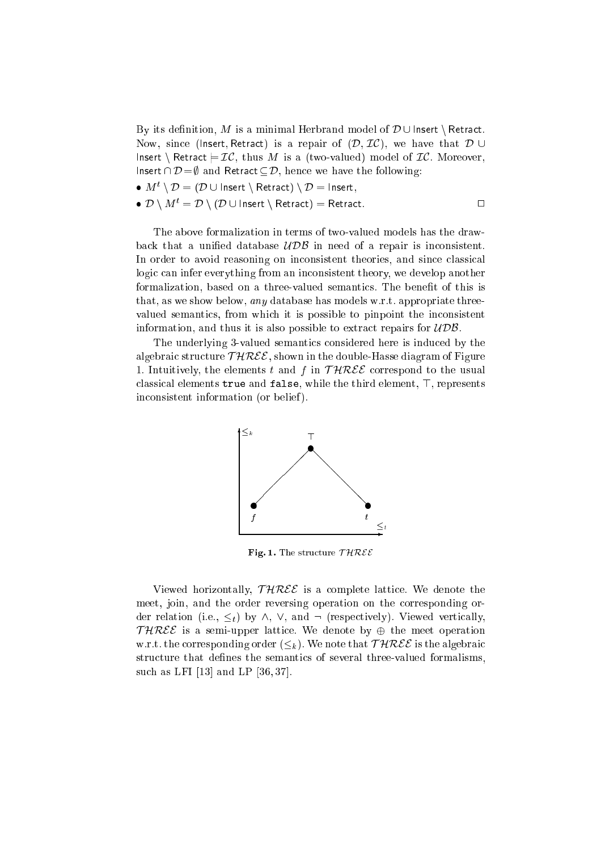By its definition, M is a minimal Herbrand model of  $\mathcal{D} \cup$  Insert \ Retract. Now, since (lnsert, Retract) is a repair of  $(D, \mathcal{IC})$ , we have that  $D \cup$ Insert \ Retract  $\models \mathcal{IC}$ , thus M is a (two-valued) model of  $\mathcal{IC}$ . Moreover, Insert  $\cap \mathcal{D} = \emptyset$  and Retract  $\subseteq \mathcal{D}$ , hence we have the following:

- $\blacksquare$  M  $\ulcorner \setminus D \equiv (D \cup \text{Insert} \setminus \text{Retract}) \setminus D \equiv \text{Insert},$
- $\bullet$   $\mathcal{D} \setminus M^t = \mathcal{D} \setminus (\mathcal{D} \cup \mathsf{Insert} \setminus \mathsf{Retract}) = \mathsf{Retract}.$

The above formalization in terms of two-valued models has the drawback that a unified database  $\mathcal{UDB}$  in need of a repair is inconsistent. In order to avoid reasoning on inconsistent theories, and since classical logic can infer everything from an inconsistent theory, we develop another formalization, based on a three-valued semantics. The benefit of this is that, as we show below, any database has models w.r.t. appropriate threevalued semantics, from which it is possible to pinpoint the inconsistent information, and thus it is also possible to extract repairs for  $\mathcal{UDB}$ .

The underlying 3-valued semantics considered here is induced by the algebraic structure  $THREE$ , shown in the double-Hasse diagram of Figure 1. Intuitively, the elements t and f in  $THREE$  correspond to the usual classical elements  $true$  and  $false$ , while the third element,  $\top$ , represents inconsistent information (or belief).



Fig. 1. The structure  $THREE$ 

Viewed horizontally,  $THREE$  is a complete lattice. We denote the meet, join, and the order reversing operation on the orresponding order relation (i.e.,  $\leq_t$ ) by  $\wedge$ ,  $\vee$ , and  $\neg$  (respectively). Viewed vertically, THREE is a semi-upper lattice. We denote by  $\oplus$  the meet operation w.r.t. the corresponding order  $(\leq_k)$ . We note that  $THREE$  is the algebraic structure that defines the semantics of several three-valued formalisms, such as LFI  $[13]$  and LP  $[36, 37]$ .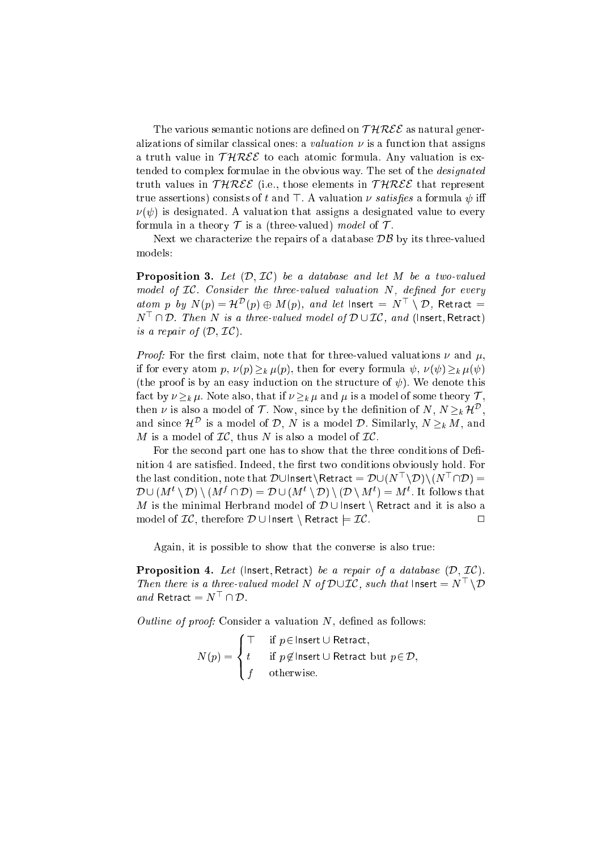The various semantic notions are defined on  $THREE$  as natural generalizations of similar classical ones: a *valuation*  $\nu$  is a function that assigns a truth value in  $THREE$  to each atomic formula. Any valuation is extended to complex formulae in the obvious way. The set of the *designated* truth values in  $THREE$  (i.e., those elements in  $THREE$  that represent true assertions) consists of t and  $\top$ . A valuation  $\nu$  satisfies a formula  $\psi$  iff  $\nu(\psi)$  is designated. A valuation that assigns a designated value to every formula in a theory  $\mathcal T$  is a (three-valued) model of  $\mathcal T$ .

Next we characterize the repairs of a database  $\mathcal{DB}$  by its three-valued models:

**Proposition 3.** Let  $(\mathcal{D}, \mathcal{I}\mathcal{C})$  be a database and let M be a two-valued model of  $IC$ . Consider the three-valued valuation  $N$ , defined for every atom p by  $N(p) = H^-(p) \oplus M(p)$ , and let insert  $N \to D$ , Retract  $=$ N<sup>&</sup>gt; \ D. Then <sup>N</sup> is a three-valued model of <sup>D</sup> [ IC, and (Insert; Retra
t) is a repair of  $(D, \mathcal{IC})$ .

*Proof:* For the first claim, note that for three-valued valuations  $\nu$  and  $\mu$ , if for every atom p,  $\nu(p) \geq_k \mu(p)$ , then for every formula  $\psi$ ,  $\nu(\psi) \geq_k \mu(\psi)$ (the proof is by an easy induction on the structure of  $\psi$ ). We denote this fact by  $\nu \geq_k \mu$ . Note also, that if  $\nu \geq_k \mu$  and  $\mu$  is a model of some theory  $\mathcal{T}$ , then  $\nu$  is also a model of T. Now, since by the definition of N, N  $\geq_k n^*$ , and since  $\pi$  is a model of D, T is a model D. Similarly, TV  $\geq_k M$ , and M is a model of  $IC$ , thus N is also a model of  $IC$ .

For the second part one has to show that the three conditions of Definition 4 are satisfied. Indeed, the first two conditions obviously hold. For the last condition, note that DUInsert\Retract =  $D\cup (N\setminus D)\setminus (N\setminus D)=$  $D \cup (M^{\perp} \setminus D) \setminus (M^{\perp} \sqcup D) = D \cup (M^{\perp} \setminus D) \setminus (D \setminus M^{\perp}) = M^{\perp}$ . It follows that M is the minimal Herbrand model of  $\mathcal{D} \cup$  Insert \ Retract and it is also a model of  $IC$ , therefore  $\mathcal{D} \cup$  Insert \ Retract  $\models \mathcal{IC}$ .

Again, it is possible to show that the onverse is also true:

**Proposition 4.** Let (lnsert, Retract) be a repair of a database  $(D, \mathcal{IC})$ . Then there is a three-valued model is of DULC, such that insert  $= N \setminus D$ and Retract  $= N$   $\Box \nu$ .

*Outline of proof:* Consider a valuation  $N$ , defined as follows:

$$
N(p) = \begin{cases} \top & \text{if } p \in \text{Insert } \cup \text{Retract,} \\ t & \text{if } p \notin \text{Insert } \cup \text{Retract but } p \in \mathcal{D,} \\ f & \text{otherwise.} \end{cases}
$$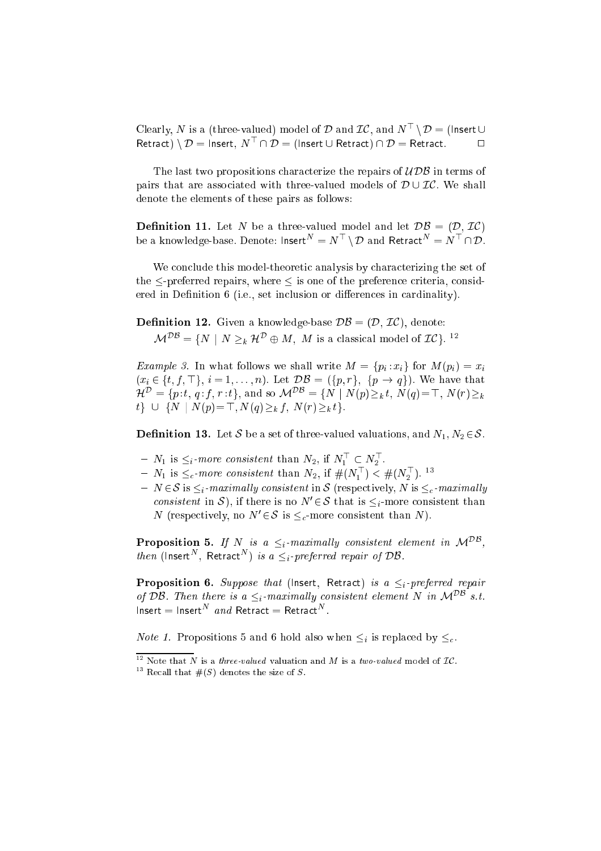Clearly, N is a (three-valued) model of D and LC, and  $N \supseteq U$  (insert  $\cup$ Retract) \  $D =$  insert,  $N-|\cdot|D =$  (insert  $\cup$  Retract)  $|\cdot|D =$  Retract.  $|\cdot|D|$ 

The last two propositions characterize the repairs of  $\mathcal{UDB}$  in terms of pairs that are associated with three-valued models of  $D \cup \mathcal{IC}$ . We shall denote the elements of these pairs as follows:

Denition 11. Let <sup>N</sup> be a three-valued model and let DB = (D; IC) be a knowledge-base. Denote: Insert  $\Box = N \setminus D$  and Retract  $\Box = N \setminus D$ .

We conclude this model-theoretic analysis by characterizing the set of the  $\leq$ -preferred repairs, where  $\leq$  is one of the preference criteria, considered in Definition 6 (i.e., set inclusion or differences in cardinality).

**Definition 12.** Given a knowledge-base  $\mathcal{DB} = (\mathcal{D}, \mathcal{IC})$ , denote:  $\mathcal{M}^{\perp} = \{ N \mid N \geq k \mid \mathcal{H}^{\perp} \oplus M, M \text{ is a classical model of } \mathcal{L} \mathcal{C} \}.$ 

*Example 3.* In what follows we shall write  $M = \{p_i : x_i\}$  for  $M(p_i) = x_i$ (and  $\alpha$  in the function of  $\alpha$  is the function of  $\alpha$  in that  $\alpha$  is the function of  $\alpha$  $\mathcal{H}$  = {p: t, q; j, r: t}, and so  $\mathcal{M}$  = {N | N(p)  $\geq k$  t, N(q)= \, N(r)  $\geq k$  $t\}$   $\cup$  {N | N(p) = T, N(q) > k f, N(r) > k t}.

**Definition 13.** Let S be a set of three-valued valuations, and  $N_1, N_2 \in \mathcal{S}$ .

- $N_1$  is  $\leq_i$ -more consistent than  $N_2$ , if  $N_1 \subset N_2$ .
- $N_1$  is  $\leq_c$ -*more consistent* than  $N_2$ , if  $\#(N_1) \leq \#(N_2)$ .
- ${\overline{\hspace{1mm}}\;} N\in\mathcal{S}$  is  $\leq_i$ -maximally consistent in S (respectively, N is  $\leq_c$ -maximally *consistent* in  $\sigma$ ), if there is no *N*  $\in \sigma$  that is  $\leq_i$ -more consistent than *I* (respectively, no *I*  $\epsilon > 1$ s  $\leq_c$ -more consistent than *I I*,

**Proposition 5.** If iv is a  $\leq_i$ -maximally consistent element in  $\mathcal{M}^{\leq n}$ , then (insert), Retract *)* is a  $\leq_i$ -preferred repair of DB.

**Proposition 6.** Suppose that (lnsert, Retract) is a  $\leq_i$ -preferred repair of DB. Then there is a  $\leq_i$ -maximally consistent element N in  $\mathcal{M}^{DB}$  s.t.  $\theta$  insert  $\theta$  insert  $\theta$  and Retract  $\theta$  Retract  $\theta$ .

*Note 1.* Propositions 5 and 6 hold also when  $\leq_i$  is replaced by  $\leq_c$ .

<sup>12</sup> Note that *N* is a *three-valued* valuation and *M* is a *two-valued* model of  $L$ C.

 $\lceil \cdot \rceil$  Recall that  $\#(S)$  denotes the size of  $S$ .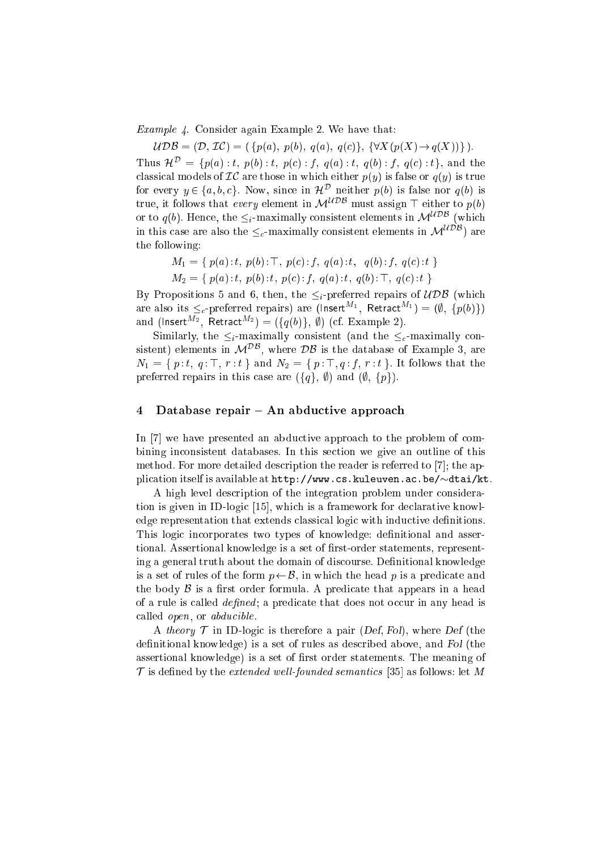Example 4. Consider again Example 2. We have that:

 $\mathcal{UDB} = (\mathcal{D}, \mathcal{IC}) = (\{p(a), p(b), q(a), q(c)\}, \{\forall X(p(X) \rightarrow q(X))\}).$ 

Thus  $\mathcal{H}^{\mathcal{D}} = \{p(a) : t, p(b) : t, p(c) : f, q(a) : t, q(b) : f, q(c) : t\}$ , and the classical models of  $\mathcal{IC}$  are those in which either  $p(y)$  is false or  $q(y)$  is true for every  $y \in \{a, b, c\}$ . Now, since in  $\pi^-$  herefore  $p(v)$  is false nor  $q(v)$  is true, it follows that every element in  $\mathcal{M}^{UDB}$  must assign  $\top$  either to  $p(b)$ or to  $q(b)$ . Hence, the  $\leq_i$ -maximally consistent elements in  $\mathcal{M}^{UDB}$  (which in this case are also the  $\leq_c$ -maximally consistent elements in  $\mathcal{M}^{\mathcal{UDB}}$ ) are the following:

$$
M_1 = \{ p(a): t, p(b): \top, p(c): f, q(a): t, q(b): f, q(c): t \}
$$
  

$$
M_2 = \{ p(a): t, p(b): t, p(c): f, q(a): t, q(b): \top, q(c): t \}
$$

By Propositions 5 and 6, then, the  $\leq_i$ -preferred repairs of  $\mathcal{UDB}$  (which are also its  $\leq_c$ -preferred repairs) are (insert  $\rightarrow$ , Retract  $\rightarrow$ )  $=$   $(\varnothing, \varnothing(\varnothing)\varnothing)$ and (insert  $\mathbb{R}^2$ , Retract  $\mathbb{R}^2$ ) = ({q(0)}, y) (cf. Example 2).

Similarly, the  $\leq_i$ -maximally consistent (and the  $\leq_c$ -maximally consistent) elements in  $\mathcal{M}^{\pm\pm}$ , where  $\overline{\nu}$  is the database of Example 3, are  $N_1 = \{p : t, q : \top, r : t\}$  and  $N_2 = \{p : \top, q : f, r : t\}$ . It follows that the preferred repairs in this case are  $({q}, \emptyset)$  and  $(\emptyset, {p})$ .

### 4 Database repair – An abductive approach

In [7] we have presented an abductive approach to the problem of combining in
onsistent databases. In this se
tion we give an outline of this method. For more detailed description the reader is referred to [7]; the application itself is available at  $http://www.cs.kuleuven.ac.be/~dtai/kt.$ 

A high level description of the integration problem under consideration is given in ID-logic [15], which is a framework for declarative knowledge representation that extends classical logic with inductive definitions. This logic incorporates two types of knowledge: definitional and assertional. Assertional knowledge is a set of first-order statements, representing a general truth about the domain of discourse. Definitional knowledge is a set of rules of the form  $p \leftarrow \mathcal{B}$ , in which the head p is a predicate and the body  $\beta$  is a first order formula. A predicate that appears in a head of a rule is called *defined*; a predicate that does not occur in any head is called *open*, or *abducible*.

A theory  $\mathcal T$  in ID-logic is therefore a pair (Def, Fol), where Def (the definitional knowledge) is a set of rules as described above, and Fol (the assertional knowledge) is a set of first order statements. The meaning of T is defined by the *extended well-founded semantics* [35] as follows: let M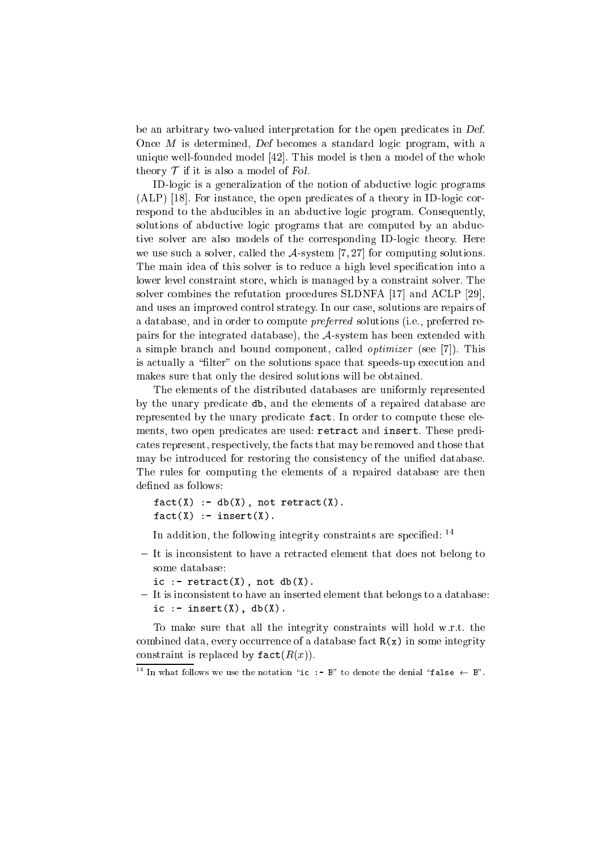be an arbitrary two-valued interpretation for the open predicates in Def. Once M is determined, Def becomes a standard logic program, with a unique well-founded model  $[42]$ . This model is then a model of the whole theory  $\mathcal T$  if it is also a model of Fol.

ID-logic is a generalization of the notion of abductive logic programs  $(ALP)$  [18]. For instance, the open predicates of a theory in ID-logic correspond to the abducibles in an abductive logic program. Consequently, solutions of abductive logic programs that are computed by an abductive solver are also models of the orresponding ID-logi theory. Here we use such a solver, called the  $A$ -system [7, 27] for computing solutions. The main idea of this solver is to reduce a high level specification into a lower level constraint store, which is managed by a constraint solver. The solver combines the refutation procedures SLDNFA [17] and ACLP [29], and uses an improved ontrol strategy. In our ase, solutions are repairs of a database, and in order to compute *preferred* solutions (i.e., preferred repairs for the integrated database), the  $A$ -system has been extended with a simple branch and bound component, called *optimizer* (see [7]). This is actually a "filter" on the solutions space that speeds-up execution and makes sure that only the desired solutions will be obtained.

The elements of the distributed databases are uniformly represented by the unary predicate db, and the elements of a repaired database are represented by the unary predicate fact. In order to compute these elements, two open predicates are used: retract and insert. These prediates represent, respe
tively, the fa
ts that may be removed and those that may be introduced for restoring the consistency of the unified database. The rules for computing the elements of a repaired database are then defined as follows:

```
fact(X) :- db(X), not retract(X).
fact(X) :- insert(X).
```
In addition, the following integrity constraints are specified:  $14$ 

- It is inconsistent to have a retracted element that does not belong to some database:
	- ic :-  $return(x)$ , not  $db(X)$ .
- It is inconsistent to have an inserted element that belongs to a database: ic :- insert $(X)$ , db $(X)$ .

To make sure that all the integrity onstraints will hold w.r.t. the combined data, every occurrence of a database fact  $R(x)$  in some integrity constraint is replaced by  $\texttt{fact}(R(x))$ .

 $\lceil \cdot \rceil$  in what follows we use the notation "ic  $\;\,:$  - B" to denote the denial "false  $\;\leftarrow$  B".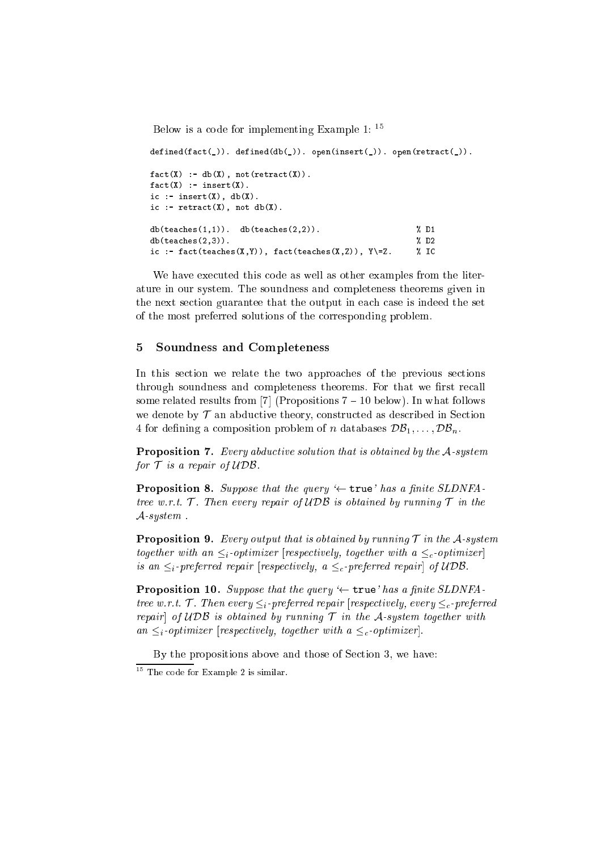Below is a ode for implementing Example 1: <sup>15</sup>

```
\text{defined}(\text{fact}(\_)). \text{defined}(\text{db}(\_)). \text{open}(\text{insert}(\_)). \text{open}(\text{retract}(\_)).
fact(X) := db(X), not(retract(X)).
fact(X) :- insert(X).
ic :- insert(X), db(X).
ic :- return(x), not db(X).
db(teaches(1,1)). db(teaches(2,2)). \% D1
db(teaches(2,3)). \% D2
ic :- fact(teaches(X,Y)), fact(teaches(X,Z)), Y\=Z. % IC
```
We have exe
uted this ode as well as other examples from the literature in our system. The soundness and ompleteness theorems given in the next section guarantee that the output in each case is indeed the set of the most preferred solutions of the orresponding problem.

# 5 Soundness and Completeness

In this section we relate the two approaches of the previous sections through soundness and completeness theorems. For that we first recall some related results from [7] (Propositions  $7 - 10$  below). In what follows we denote by  $\mathcal T$  an abductive theory, constructed as described in Section 4 for defining a composition problem of *n* databases  $\mathcal{DB}_1, \ldots, \mathcal{DB}_n$ .

**Proposition 7.** Every abductive solution that is obtained by the A-system for  $\mathcal T$  is a repair of  $\mathcal{UDB}$ .

**Proposition 8.** Suppose that the query  $\leftarrow$  true' has a finite SLDNFAtree w.r.t.  $\mathcal T$ . Then every repair of UDB is obtained by running  $\mathcal T$  in the A-system .

**Proposition 9.** Every output that is obtained by running  $\mathcal{T}$  in the  $\mathcal{A}$ -system together with an  $\leq_i$ -optimizer [respectively, together with a  $\leq_c$ -optimizer] is an  $\leq_i$ -preferred repair [respectively, a  $\leq_c$ -preferred repair] of UDB.

**Proposition 10.** Suppose that the query  $\leftarrow$  true' has a finite SLDNFAtree w.r.t. T. Then every  $\leq_i$ -preferred repair [respectively, every  $\leq_i$ -preferred repair of UDB is obtained by running  $\mathcal T$  in the A-system together with an  $\leq_i$ -optimizer [respectively, together with a  $\leq_c$ -optimizer].

By the propositions above and those of Se
tion 3, we have:

The code for Example 2 is similar.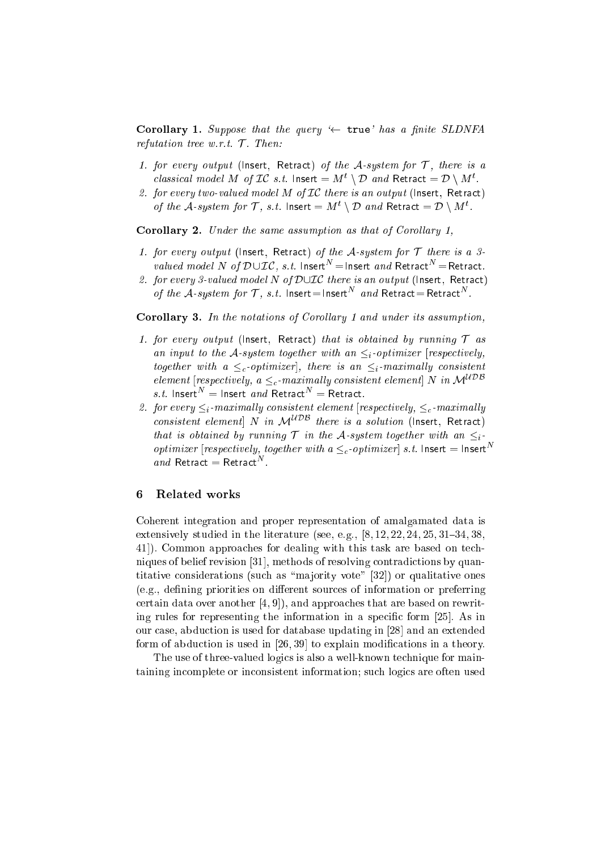**Corollary 1.** Suppose that the query  $\leftarrow$  true' has a finite SLDNFA refutation tree w.r.t.  $\mathcal{T}$ . Then:

- 1. for every output (lnsert, Retract) of the A-system for  $\mathcal{T}$ , there is a classical model M of LC s.t. Insert  $=$  M  $\rightarrow$  D and Retract  $=$  D  $\rightarrow$  M  $\rightarrow$
- 2. for every two-valued model  $M$  of  $IC$  there is an output (lnsert, Retract) of the A-system for f, s.t. insert  $=$  M  $\rightarrow$  D and Retract  $=$  D  $\rightarrow$  M  $\rightarrow$

**Corollary 2.** Under the same assumption as that of Corollary 1,

- 1. for every output (lnsert, Retract) of the A-system for  $T$  there is a 3*valued model IN Of DOLC, s.t.* Insert  $\equiv$  insert *and* Retract  $\equiv$  Retract.
- 2. for every 3-valued model N of  $D\cup\mathcal{IC}$  there is an output (Insert, Retract) *of the*  $A$ *-system for I*, *s.t.* Insert  $=$  Insert and Retract  $=$  Retract .

**Corollary 3.** In the notations of Corollary 1 and under its assumption,

- 1. for every output (lnsert, Retract) that is obtained by running  $\mathcal T$  as an input to the A-system together with an  $\leq_i$ -optimizer [respectively, together with a  $\leq_c$ -optimizer, there is an  $\leq_i$ -maximally consistent element [respectively,  $a \leq_c$ -maximally consistent element] N in  $\mathcal{M}^{UDB}$  $s.t.$  insert  $\equiv$  insert and Retract  $\equiv$  Retract.
- 2. for every  $\leq_i$ -maximally consistent element [respectively,  $\leq_c$ -maximally consistent element N in  $\mathcal{M}^{UDB}$  there is a solution (Insert, Retract) that is obtained by running  $\mathcal T$  in the A-system together with an  $\leq_i$ *optimizer* [respectively, together with  $a \leq_c$ -optimizer] s.t. Insert = Insert<sup>N</sup> and Retract  $=$  Retract  $\ldots$

### 6 Related works

Coherent integration and proper representation of amalgamated data is extensively studied in the literature (see, e.g.,  $[8, 12, 22, 24, 25, 31-34, 38,$ 41.). Common approaches for dealing with this task are based on techniques of belief revision [31], methods of resolving contradictions by quantitative considerations (such as "majority vote"  $[32]$ ) or qualitative ones (e.g., defining priorities on different sources of information or preferring certain data over another  $[4, 9]$ , and approaches that are based on rewriting rules for representing the information in a specific form  $[25]$ . As in our case, abduction is used for database updating in [28] and an extended form of abduction is used in  $[26, 39]$  to explain modifications in a theory.

The use of three-valued logics is also a well-known technique for maintaining in
omplete or in
onsistent information; su
h logi
s are often used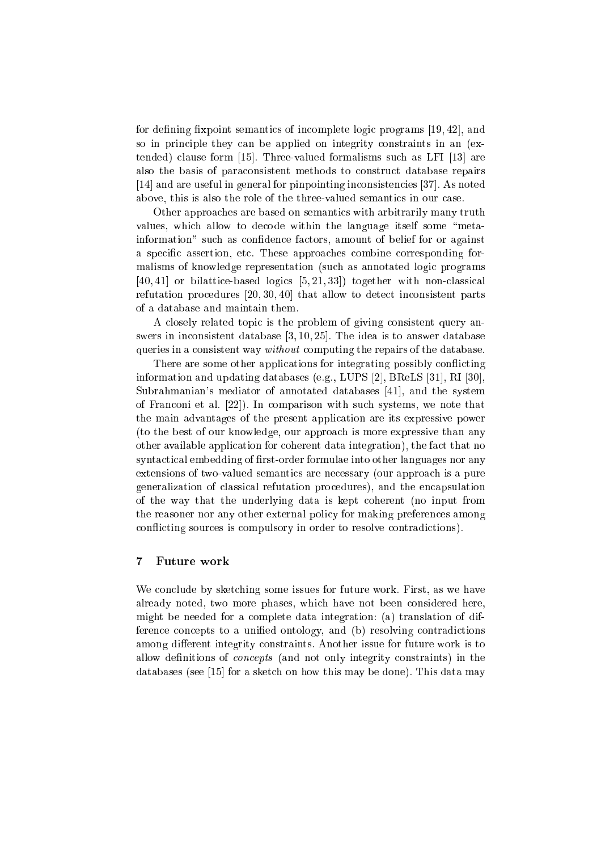for defining fixpoint semantics of incomplete logic programs  $[19, 42]$ , and so in principle they can be applied on integrity constraints in an (ex $tended)$  clause form [15]. Three-valued formalisms such as LFI [13] are also the basis of para
onsistent methods to onstru
t database repairs [14] and are useful in general for pinpointing inconsistencies [37]. As noted above, this is also the role of the three-valued semantics in our case.

Other approaches are based on semantics with arbitrarily many truth values, which allow to decode within the language itself some "metainformation" such as confidence factors, amount of belief for or against a specific assertion, etc. These approaches combine corresponding formalisms of knowledge representation (su
h as annotated logi programs  $[40, 41]$  or bilattice based logics  $[5, 21, 33]$  together with non-classical refutation procedures  $[20, 30, 40]$  that allow to detect inconsistent parts of a database and maintain them.

A closely related topic is the problem of giving consistent query answers in inconsistent database  $[3, 10, 25]$ . The idea is to answer database queries in a consistent way *without* computing the repairs of the database.

There are some other applications for integrating possibly conflicting information and updating databases (e.g., LUPS [2], BReLS  $[31]$ , RI  $[30]$ , Subrahmanian's mediator of annotated databases  $[41]$ , and the system of Franconi et al. [22]). In comparison with such systems, we note that the main advantages of the present appli
ation are its expressive power (to the best of our knowledge, our approa
h is more expressive than any other available application for coherent data integration), the fact that no syntactical embedding of first-order formulae into other languages nor any extensions of two-valued semantics are necessary (our approach is a pure generalization of lassi
al refutation pro
edures), and the en
apsulation of the way that the underlying data is kept oherent (no input from the reasoner nor any other external poli
y for making preferen
es among conflicting sources is compulsory in order to resolve contradictions).

#### $\overline{7}$ Future work

We conclude by sketching some issues for future work. First, as we have already noted, two more phases, whi
h have not been onsidered here, might be needed for a omplete data integration: (a) translation of difference concepts to a unified ontology, and (b) resolving contradictions among different integrity constraints. Another issue for future work is to allow definitions of *concepts* (and not only integrity constraints) in the databases (see [15] for a sketch on how this may be done). This data may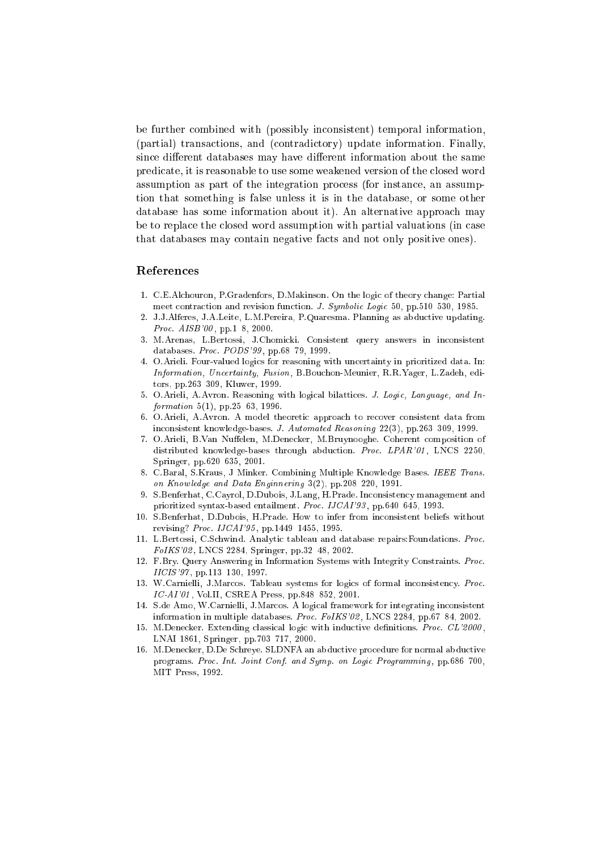be further combined with (possibly inconsistent) temporal information, (partial) transa
tions, and (
ontradi
tory) update information. Finally, since different databases may have different information about the same predi
ate, it is reasonable to use some weakened version of the losed word assumption as part of the integration pro
ess (for instan
e, an assumption that something is false unless it is in the database, or some other database has some information about it). An alternative approach may be to replace the closed word assumption with partial valuations (in case that databases may ontain negative fa
ts and not only positive ones).

### Referen
es

- 1. C.E.Al
houron, P.Gradenfors, D.Makinson. On the logi of theory hange: Partial meet contraction and revision function. J. Symbolic Logic 50, pp.510–530, 1985.
- $2^{\circ}$ 2. J.J.Alferes, J.A.Leite, L.M.Pereira, P.Quaresma. Planning as abdu
tive updating. *Proc. AISB'00*, pp.1-8, 2000.
- 3. M.Arenas, L.Bertossi, J.Chomi
ki. Consistent query answers in in
onsistent databases. *Proc. PODS'99*, pp.68-79, 1999.
- 4. O.Arieli. Four-valued logi
s for reasoning with un
ertainty in prioritized data. In: Information, Un
ertainty, Fusion, B.Bou
hon-Meunier, R.R.Yager, L.Zadeh, editors, pp.263-309, Kluwer, 1999.
- 5. O.Arieli, A.Avron. Reasoning with logical bilattices. J. Logic, Language, and Information  $5(1)$ , pp.25-63, 1996.
- 6. O.Arieli, A.Avron. A model theoretic approach to recover consistent data from inconsistent knowledge-bases. J. Automated Reasoning 22(3), pp.263-309, 1999.
- 7. O.Arieli, B.Van Nuffelen, M.Denecker, M.Bruynooghe. Coherent composition of distributed knowledge-bases through abduction. Proc. LPAR'01, LNCS 2250, Springer, pp.620-635, 2001.
- 8. C.Baral, S.Kraus, J Minker. Combining Multiple Knowledge Bases. IEEE Trans. on Knowledge and Data Enginnering  $3(2)$ , pp.208-220, 1991.
- 9. S.Benferhat, C.Cayrol, D.Dubois, J.Lang, H.Prade. Inconsistency management and prioritized syntax-based entailment. Proc. IJCAI'93, pp.640-645, 1993.
- 10. S.Benferhat, D.Dubois, H.Prade. How to infer from in
onsistent beliefs without revising? Proc. IJCAI'95, pp.1449-1455, 1995.
- 11. L.Bertossi, C.S
hwind. Analyti tableau and database repairs:Foundations. Pro
.  $FolKS'02$ , LNCS 2284, Springer, pp.32-48, 2002.
- 12. F.Bry. Query Answering in Information Systems with Integrity Constraints. Pro
.  $IICIS'97$ , pp.113-130, 1997.
- 13. W.Carnielli, J.Marcos. Tableau systems for logics of formal inconsistency. Proc.  $IC-AI'01$ , Vol.II, CSREA Press, pp.848-852, 2001.
- 14. S.de Amo, W.Carnielli, J.Mar
os. A logi
al framework for integrating in
onsistent information in multiple databases. Proc. FoIKS'02, LNCS 2284, pp.67-84, 2002.
- 15. M.Denecker. Extending classical logic with inductive definitions. Proc. CL'2000, LNAI 1861, Springer, pp.703-717, 2000.
- 16. M.Dene
ker, D.De S
hreye. SLDNFA an abdu
tive pro
edure for normal abdu
tive programs. Proc. Int. Joint Conf. and Symp. on Logic Programming. pp.686-700. MIT Press, 1992.